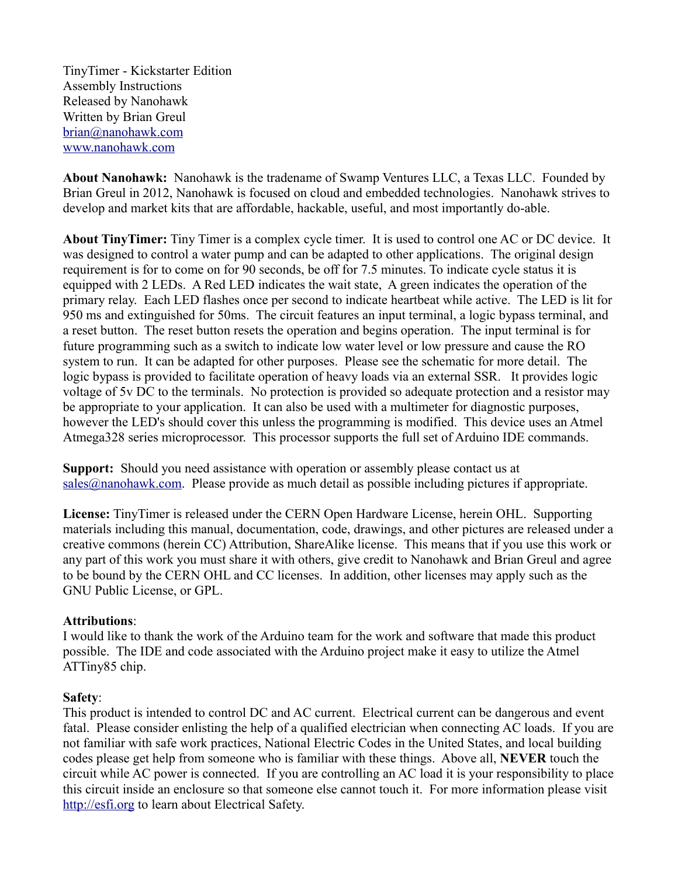TinyTimer - Kickstarter Edition Assembly Instructions Released by Nanohawk Written by Brian Greul [brian@nanohawk.com](mailto:brian@nanohawk.com) [www.nanohawk.com](http://www.nanohawk.com/)

**About Nanohawk:** Nanohawk is the tradename of Swamp Ventures LLC, a Texas LLC. Founded by Brian Greul in 2012, Nanohawk is focused on cloud and embedded technologies. Nanohawk strives to develop and market kits that are affordable, hackable, useful, and most importantly do-able.

**About TinyTimer:** Tiny Timer is a complex cycle timer. It is used to control one AC or DC device. It was designed to control a water pump and can be adapted to other applications. The original design requirement is for to come on for 90 seconds, be off for 7.5 minutes. To indicate cycle status it is equipped with 2 LEDs. A Red LED indicates the wait state, A green indicates the operation of the primary relay. Each LED flashes once per second to indicate heartbeat while active. The LED is lit for 950 ms and extinguished for 50ms. The circuit features an input terminal, a logic bypass terminal, and a reset button. The reset button resets the operation and begins operation. The input terminal is for future programming such as a switch to indicate low water level or low pressure and cause the RO system to run. It can be adapted for other purposes. Please see the schematic for more detail. The logic bypass is provided to facilitate operation of heavy loads via an external SSR. It provides logic voltage of 5v DC to the terminals. No protection is provided so adequate protection and a resistor may be appropriate to your application. It can also be used with a multimeter for diagnostic purposes, however the LED's should cover this unless the programming is modified. This device uses an Atmel Atmega328 series microprocessor. This processor supports the full set of Arduino IDE commands.

**Support:** Should you need assistance with operation or assembly please contact us at [sales@nanohawk.com.](mailto:sales@nanohawk.com) Please provide as much detail as possible including pictures if appropriate.

**License:** TinyTimer is released under the CERN Open Hardware License, herein OHL. Supporting materials including this manual, documentation, code, drawings, and other pictures are released under a creative commons (herein CC) Attribution, ShareAlike license. This means that if you use this work or any part of this work you must share it with others, give credit to Nanohawk and Brian Greul and agree to be bound by the CERN OHL and CC licenses. In addition, other licenses may apply such as the GNU Public License, or GPL.

#### **Attributions**:

I would like to thank the work of the Arduino team for the work and software that made this product possible. The IDE and code associated with the Arduino project make it easy to utilize the Atmel ATTiny85 chip.

#### **Safety**:

This product is intended to control DC and AC current. Electrical current can be dangerous and event fatal. Please consider enlisting the help of a qualified electrician when connecting AC loads. If you are not familiar with safe work practices, National Electric Codes in the United States, and local building codes please get help from someone who is familiar with these things. Above all, **NEVER** touch the circuit while AC power is connected. If you are controlling an AC load it is your responsibility to place this circuit inside an enclosure so that someone else cannot touch it. For more information please visit [http://esfi.org](http://esfi.org/) to learn about Electrical Safety.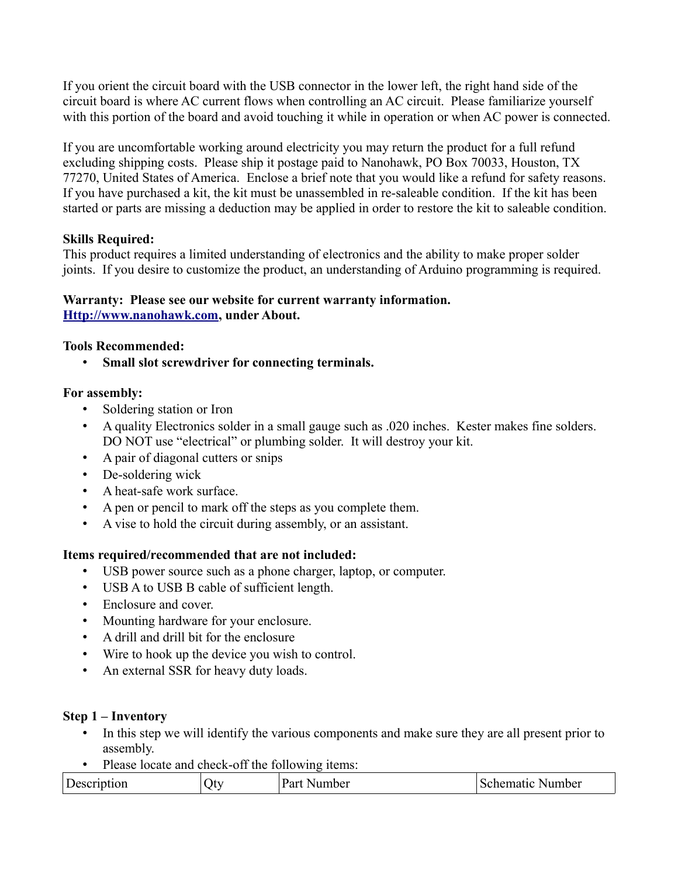If you orient the circuit board with the USB connector in the lower left, the right hand side of the circuit board is where AC current flows when controlling an AC circuit. Please familiarize yourself with this portion of the board and avoid touching it while in operation or when AC power is connected.

If you are uncomfortable working around electricity you may return the product for a full refund excluding shipping costs. Please ship it postage paid to Nanohawk, PO Box 70033, Houston, TX 77270, United States of America. Enclose a brief note that you would like a refund for safety reasons. If you have purchased a kit, the kit must be unassembled in re-saleable condition. If the kit has been started or parts are missing a deduction may be applied in order to restore the kit to saleable condition.

## **Skills Required:**

This product requires a limited understanding of electronics and the ability to make proper solder joints. If you desire to customize the product, an understanding of Arduino programming is required.

#### **Warranty: Please see our website for current warranty information. [Http://www.nanohawk.com,](http://www.nanohawk.com/) under About.**

### **Tools Recommended:**

• **Small slot screwdriver for connecting terminals.**

### **For assembly:**

- Soldering station or Iron
- A quality Electronics solder in a small gauge such as .020 inches. Kester makes fine solders. DO NOT use "electrical" or plumbing solder. It will destroy your kit.
- A pair of diagonal cutters or snips
- De-soldering wick
- A heat-safe work surface.
- A pen or pencil to mark off the steps as you complete them.
- A vise to hold the circuit during assembly, or an assistant.

## **Items required/recommended that are not included:**

- USB power source such as a phone charger, laptop, or computer.
- USB A to USB B cable of sufficient length.
- Enclosure and cover.
- Mounting hardware for your enclosure.
- A drill and drill bit for the enclosure
- Wire to hook up the device you wish to control.
- An external SSR for heavy duty loads.

#### **Step 1 – Inventory**

- In this step we will identify the various components and make sure they are all present prior to assembly.
- Please locate and check-off the following items:

| Part<br>Number<br>Description<br>Itv<br>schematic<br>Number<br>NГ. |
|--------------------------------------------------------------------|
|--------------------------------------------------------------------|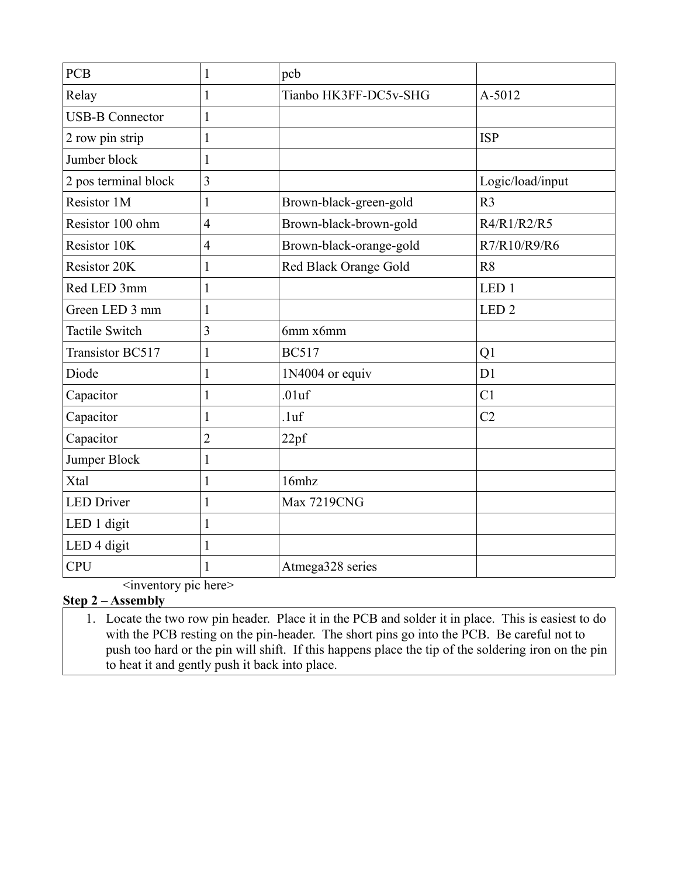| <b>PCB</b>             | 1              | pcb                     |                  |
|------------------------|----------------|-------------------------|------------------|
| Relay                  |                | Tianbo HK3FF-DC5v-SHG   | A-5012           |
| <b>USB-B Connector</b> | 1              |                         |                  |
| 2 row pin strip        | 1              |                         | <b>ISP</b>       |
| Jumber block           | $\mathbf{1}$   |                         |                  |
| 2 pos terminal block   | $\overline{3}$ |                         | Logic/load/input |
| Resistor 1M            | 1              | Brown-black-green-gold  | R <sub>3</sub>   |
| Resistor 100 ohm       | $\overline{4}$ | Brown-black-brown-gold  | R4/R1/R2/R5      |
| Resistor 10K           | $\overline{4}$ | Brown-black-orange-gold | R7/R10/R9/R6     |
| <b>Resistor 20K</b>    | 1              | Red Black Orange Gold   | R <sub>8</sub>   |
| Red LED 3mm            | 1              |                         | LED <sub>1</sub> |
| Green LED 3 mm         | 1              |                         | LED <sub>2</sub> |
| <b>Tactile Switch</b>  | 3              | 6mm x6mm                |                  |
| Transistor BC517       | $\mathbf{1}$   | <b>BC517</b>            | Q1               |
| Diode                  | 1              | 1N4004 or equiv         | D <sub>1</sub>   |
| Capacitor              | 1              | .01uf                   | C <sub>1</sub>   |
| Capacitor              | 1              | .1 <sub>uf</sub>        | C <sub>2</sub>   |
| Capacitor              | $\overline{2}$ | 22pf                    |                  |
| Jumper Block           | 1              |                         |                  |
| Xtal                   | 1              | 16mhz                   |                  |
| <b>LED Driver</b>      | $\mathbf{1}$   | <b>Max 7219CNG</b>      |                  |
| LED 1 digit            | 1              |                         |                  |
| LED 4 digit            | 1              |                         |                  |
| <b>CPU</b>             |                | Atmega328 series        |                  |

<inventory pic here>

# **Step 2 – Assembly**

1. Locate the two row pin header. Place it in the PCB and solder it in place. This is easiest to do with the PCB resting on the pin-header. The short pins go into the PCB. Be careful not to push too hard or the pin will shift. If this happens place the tip of the soldering iron on the pin to heat it and gently push it back into place.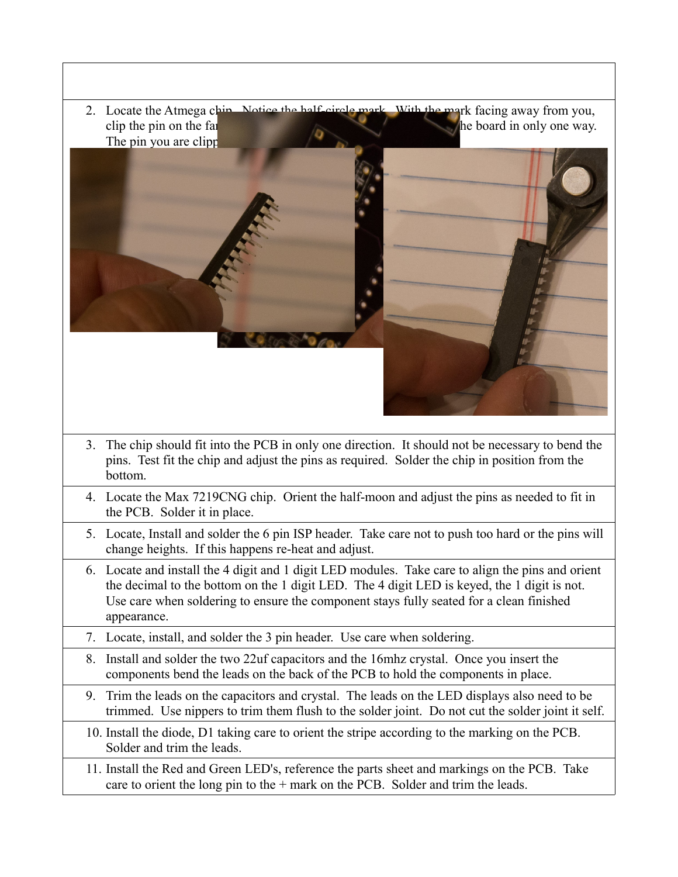2. Locate the Atmega chip. Notice the half-circle mark. With the mark facing away from you, clip the pin on the far right. This will include the chip making it fit the chip making it fit the board in only one way. The pin you are clipp 3. The chip should fit into the PCB in only one direction. It should not be necessary to bend the pins. Test fit the chip and adjust the pins as required. Solder the chip in position from the bottom. 4. Locate the Max 7219CNG chip. Orient the half-moon and adjust the pins as needed to fit in the PCB. Solder it in place. 5. Locate, Install and solder the 6 pin ISP header. Take care not to push too hard or the pins will change heights. If this happens re-heat and adjust. 6. Locate and install the 4 digit and 1 digit LED modules. Take care to align the pins and orient the decimal to the bottom on the 1 digit LED. The 4 digit LED is keyed, the 1 digit is not. Use care when soldering to ensure the component stays fully seated for a clean finished appearance. 7. Locate, install, and solder the 3 pin header. Use care when soldering. 8. Install and solder the two 22uf capacitors and the 16mhz crystal. Once you insert the components bend the leads on the back of the PCB to hold the components in place. 9. Trim the leads on the capacitors and crystal. The leads on the LED displays also need to be trimmed. Use nippers to trim them flush to the solder joint. Do not cut the solder joint it self. 10. Install the diode, D1 taking care to orient the stripe according to the marking on the PCB. Solder and trim the leads. 11. Install the Red and Green LED's, reference the parts sheet and markings on the PCB. Take care to orient the long pin to the + mark on the PCB. Solder and trim the leads.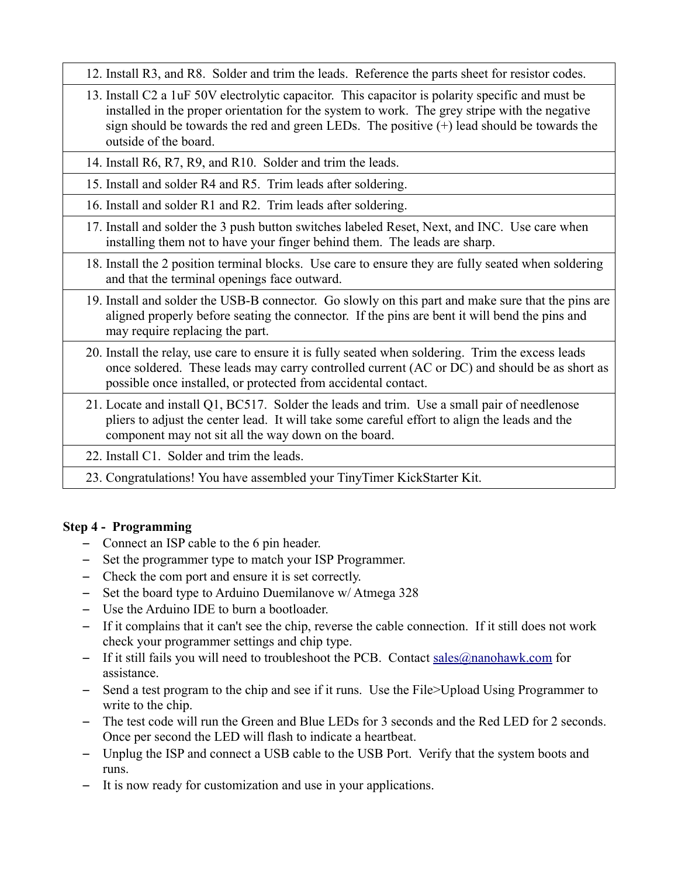- 12. Install R3, and R8. Solder and trim the leads. Reference the parts sheet for resistor codes.
- 13. Install C2 a 1uF 50V electrolytic capacitor. This capacitor is polarity specific and must be installed in the proper orientation for the system to work. The grey stripe with the negative sign should be towards the red and green LEDs. The positive (+) lead should be towards the outside of the board.
- 14. Install R6, R7, R9, and R10. Solder and trim the leads.
- 15. Install and solder R4 and R5. Trim leads after soldering.
- 16. Install and solder R1 and R2. Trim leads after soldering.
- 17. Install and solder the 3 push button switches labeled Reset, Next, and INC. Use care when installing them not to have your finger behind them. The leads are sharp.
- 18. Install the 2 position terminal blocks. Use care to ensure they are fully seated when soldering and that the terminal openings face outward.
- 19. Install and solder the USB-B connector. Go slowly on this part and make sure that the pins are aligned properly before seating the connector. If the pins are bent it will bend the pins and may require replacing the part.
- 20. Install the relay, use care to ensure it is fully seated when soldering. Trim the excess leads once soldered. These leads may carry controlled current (AC or DC) and should be as short as possible once installed, or protected from accidental contact.
- 21. Locate and install Q1, BC517. Solder the leads and trim. Use a small pair of needlenose pliers to adjust the center lead. It will take some careful effort to align the leads and the component may not sit all the way down on the board.
- 22. Install C1. Solder and trim the leads.
- 23. Congratulations! You have assembled your TinyTimer KickStarter Kit.

## **Step 4 - Programming**

- Connect an ISP cable to the 6 pin header.
- Set the programmer type to match your ISP Programmer.
- Check the com port and ensure it is set correctly.
- Set the board type to Arduino Duemilanove w/ Atmega 328
- Use the Arduino IDE to burn a bootloader.
- If it complains that it can't see the chip, reverse the cable connection. If it still does not work check your programmer settings and chip type.
- If it still fails you will need to troubleshoot the PCB. Contact sales  $@$  nanohawk.com for assistance.
- Send a test program to the chip and see if it runs. Use the File>Upload Using Programmer to write to the chip.
- The test code will run the Green and Blue LEDs for 3 seconds and the Red LED for 2 seconds. Once per second the LED will flash to indicate a heartbeat.
- Unplug the ISP and connect a USB cable to the USB Port. Verify that the system boots and runs.
- It is now ready for customization and use in your applications.